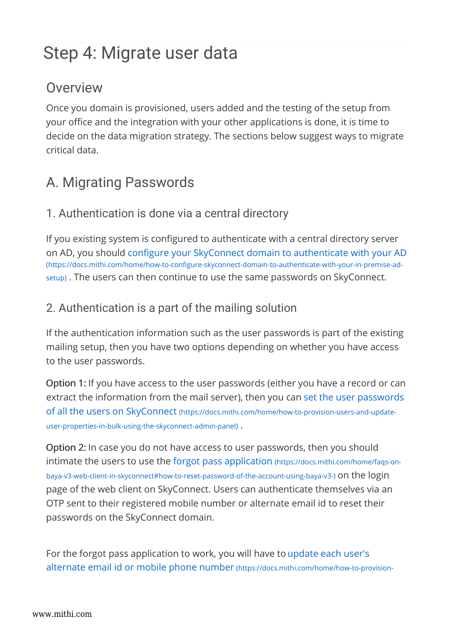# Step 4: Migrate user data

## **Overview**

Once you domain is provisioned, users added and the testing of the setup from your office and the integration with your other applications is done, it is time to decide on the data migration strategy. The sections below suggest ways to migrate critical data.

## A. Migrating Passwords

### 1. Authentication is done via a central directory

If you existing system is configured to authenticate with a central directory server on AD, you should configure your SkyConnect domain to authenticate with your AD (https://docs.mithi.com/home/how-to-configure-skyconnect-domain-to-authenticate-with-your-in-premise-adsetup) . The users can then continue to use the same passwords on SkyConnect.

## 2. Authentication is a part of the mailing solution

If the authentication information such as the user passwords is part of the existing mailing setup, then you have two options depending on whether you have access to the user passwords.

Option 1: If you have access to the user passwords (either you have a record or can extract the information from the mail server), then you can set the user passwords of all the users on SkyConnect (https://docs.mithi.com/home/how-to-provision-users-and-updateuser-properties-in-bulk-using-the-skyconnect-admin-panel) .

Option 2: In case you do not have access to user passwords, then you should intimate the users to use the forgot pass application (https://docs.mithi.com/home/faqs-onbaya-v3-web-client-in-skyconnect#how-to-reset-password-of-the-account-using-baya-v3-) on the login page of the web client on SkyConnect. Users can authenticate themselves via an OTP sent to their registered mobile number or alternate email id to reset their passwords on the SkyConnect domain.

For the forgot pass application to work, you will have to update each user's alternate email id or mobile phone number (https://docs.mithi.com/home/how-to-provision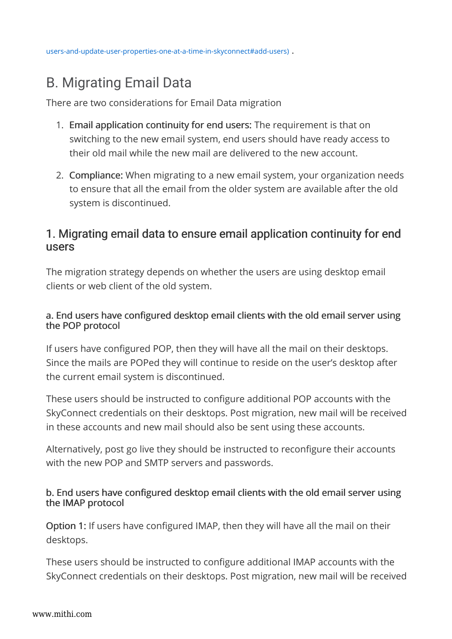users-and-update-user-properties-one-at-a-time-in-skyconnect#add-users) .

## B. Migrating Email Data

There are two considerations for Email Data migration

- 1. Email application continuity for end users: The requirement is that on switching to the new email system, end users should have ready access to their old mail while the new mail are delivered to the new account.
- 2. Compliance: When migrating to a new email system, your organization needs to ensure that all the email from the older system are available after the old system is discontinued.

### 1. Migrating email data to ensure email application continuity for end users

The migration strategy depends on whether the users are using desktop email clients or web client of the old system.

#### a. End users have configured desktop email clients with the old email server using the POP protocol

If users have configured POP, then they will have all the mail on their desktops. Since the mails are POPed they will continue to reside on the user's desktop after the current email system is discontinued.

These users should be instructed to configure additional POP accounts with the SkyConnect credentials on their desktops. Post migration, new mail will be received in these accounts and new mail should also be sent using these accounts.

Alternatively, post go live they should be instructed to reconfigure their accounts with the new POP and SMTP servers and passwords.

#### b. End users have configured desktop email clients with the old email server using the IMAP protocol

Option 1: If users have configured IMAP, then they will have all the mail on their desktops.

These users should be instructed to configure additional IMAP accounts with the SkyConnect credentials on their desktops. Post migration, new mail will be received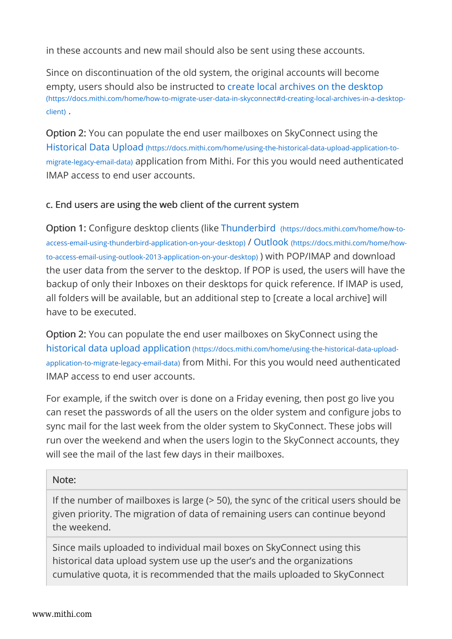in these accounts and new mail should also be sent using these accounts.

Since on discontinuation of the old system, the original accounts will become empty, users should also be instructed to create local archives on the desktop (https://docs.mithi.com/home/how-to-migrate-user-data-in-skyconnect#d-creating-local-archives-in-a-desktopclient) .

Option 2: You can populate the end user mailboxes on SkyConnect using the Historical Data Upload (https://docs.mithi.com/home/using-the-historical-data-upload-application-tomigrate-legacy-email-data) application from Mithi. For this you would need authenticated IMAP access to end user accounts.

#### c. End users are using the web client of the current system

Option 1: Configure desktop clients (like Thunderbird (https://docs.mithi.com/home/how-toaccess-email-using-thunderbird-application-on-your-desktop) / Outlook (https://docs.mithi.com/home/howto-access-email-using-outlook-2013-application-on-your-desktop) ) with POP/IMAP and download the user data from the server to the desktop. If POP is used, the users will have the backup of only their Inboxes on their desktops for quick reference. If IMAP is used, all folders will be available, but an additional step to [create a local archive] will have to be executed.

Option 2: You can populate the end user mailboxes on SkyConnect using the historical data upload application (https://docs.mithi.com/home/using-the-historical-data-uploadapplication-to-migrate-legacy-email-data) from Mithi. For this you would need authenticated IMAP access to end user accounts.

For example, if the switch over is done on a Friday evening, then post go live you can reset the passwords of all the users on the older system and configure jobs to sync mail for the last week from the older system to SkyConnect. These jobs will run over the weekend and when the users login to the SkyConnect accounts, they will see the mail of the last few days in their mailboxes.

#### Note:

If the number of mailboxes is large (> 50), the sync of the critical users should be given priority. The migration of data of remaining users can continue beyond the weekend.

Since mails uploaded to individual mail boxes on SkyConnect using this historical data upload system use up the user's and the organizations cumulative quota, it is recommended that the mails uploaded to SkyConnect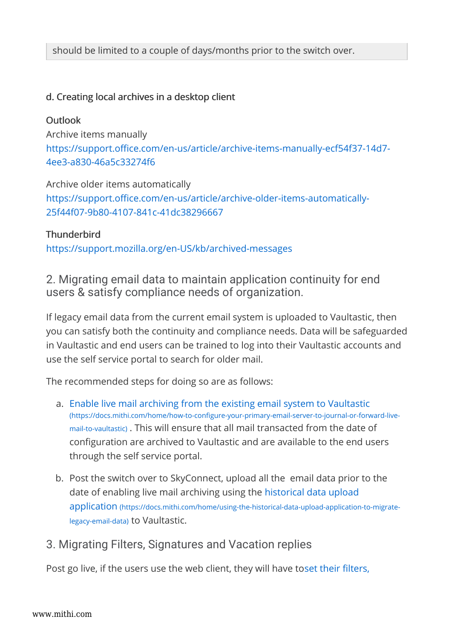#### d. Creating local archives in a desktop client

#### Outlook

Archive items manually https://support.office.com/en-us/article/archive-items-manually-ecf54f37-14d7- 4ee3-a830-46a5c33274f6

Archive older items automatically https://support.office.com/en-us/article/archive-older-items-automatically-25f44f07-9b80-4107-841c-41dc38296667

#### **Thunderbird**

https://support.mozilla.org/en-US/kb/archived-messages

2. Migrating email data to maintain application continuity for end users & satisfy compliance needs of organization.

If legacy email data from the current email system is uploaded to Vaultastic, then you can satisfy both the continuity and compliance needs. Data will be safeguarded in Vaultastic and end users can be trained to log into their Vaultastic accounts and use the self service portal to search for older mail.

The recommended steps for doing so are as follows:

- a. Enable live mail archiving from the existing email system to Vaultastic (https://docs.mithi.com/home/how-to-configure-your-primary-email-server-to-journal-or-forward-livemail-to-vaultastic) . This will ensure that all mail transacted from the date of configuration are archived to Vaultastic and are available to the end users through the self service portal.
- b. Post the switch over to SkyConnect, upload all the email data prior to the date of enabling live mail archiving using the historical data upload application (https://docs.mithi.com/home/using-the-historical-data-upload-application-to-migratelegacy-email-data) to Vaultastic.
- 3. Migrating Filters, Signatures and Vacation replies

Post go live, if the users use the web client, they will have toset their filters,